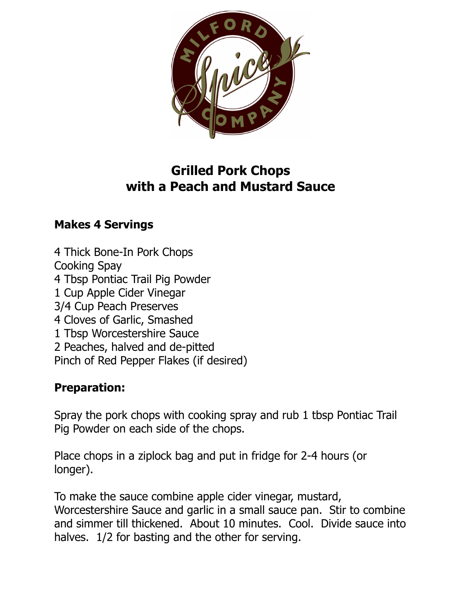

## **Grilled Pork Chops with a Peach and Mustard Sauce**

## **Makes 4 Servings**

4 Thick Bone-In Pork Chops Cooking Spay 4 Tbsp Pontiac Trail Pig Powder 1 Cup Apple Cider Vinegar 3/4 Cup Peach Preserves 4 Cloves of Garlic, Smashed 1 Tbsp Worcestershire Sauce 2 Peaches, halved and de-pitted Pinch of Red Pepper Flakes (if desired)

## **Preparation:**

Spray the pork chops with cooking spray and rub 1 tbsp Pontiac Trail Pig Powder on each side of the chops.

Place chops in a ziplock bag and put in fridge for 2-4 hours (or longer).

To make the sauce combine apple cider vinegar, mustard, Worcestershire Sauce and garlic in a small sauce pan. Stir to combine and simmer till thickened. About 10 minutes. Cool. Divide sauce into halves. 1/2 for basting and the other for serving.